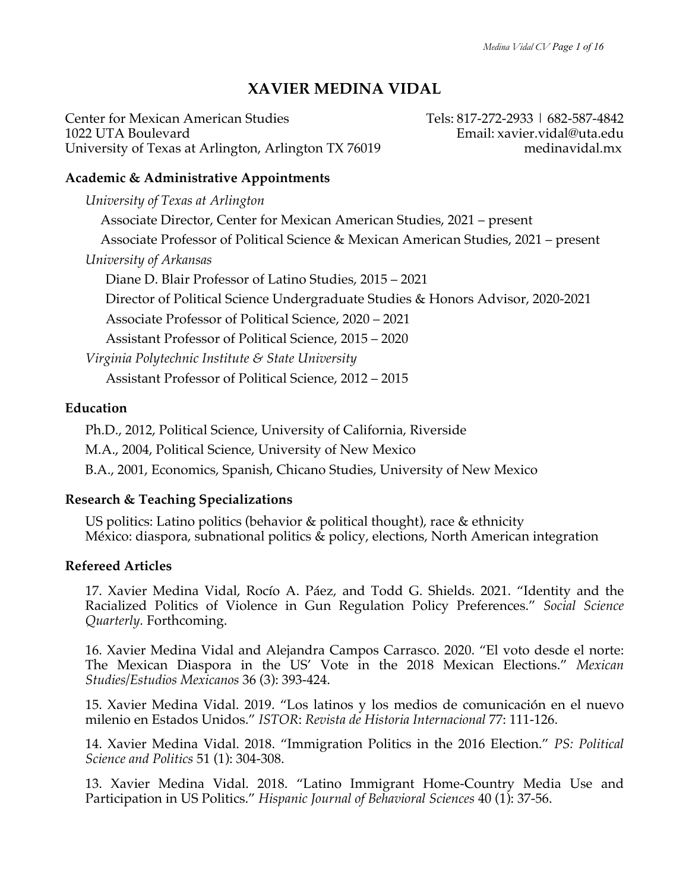# **XAVIER MEDINA VIDAL**

Center for Mexican American Studies Tels: 817-272-2933 | 682-587-4842 1022 UTA Boulevard<br>University of Texas at Arlington, Arlington TX 76019 Email: xavier.vidal@uta.edu University of Texas at Arlington, Arlington TX 76019

## **Academic & Administrative Appointments**

*University of Texas at Arlington*  Associate Director, Center for Mexican American Studies, 2021 – present Associate Professor of Political Science & Mexican American Studies, 2021 – present *University of Arkansas* Diane D. Blair Professor of Latino Studies, 2015 – 2021 Director of Political Science Undergraduate Studies & Honors Advisor, 2020-2021 Associate Professor of Political Science, 2020 – 2021 Assistant Professor of Political Science, 2015 – 2020 *Virginia Polytechnic Institute & State University* Assistant Professor of Political Science, 2012 – 2015

## **Education**

Ph.D., 2012, Political Science, University of California, Riverside M.A., 2004, Political Science, University of New Mexico B.A., 2001, Economics, Spanish, Chicano Studies, University of New Mexico

## **Research & Teaching Specializations**

US politics: Latino politics (behavior & political thought), race & ethnicity México: diaspora, subnational politics & policy, elections, North American integration

## **Refereed Articles**

17. Xavier Medina Vidal, Rocío A. Páez, and Todd G. Shields. 2021. "Identity and the Racialized Politics of Violence in Gun Regulation Policy Preferences." *Social Science Quarterly.* Forthcoming.

16. Xavier Medina Vidal and Alejandra Campos Carrasco. 2020. "El voto desde el norte: The Mexican Diaspora in the US' Vote in the 2018 Mexican Elections." *Mexican Studies/Estudios Mexicanos* 36 (3): 393-424.

15. Xavier Medina Vidal. 2019. "Los latinos y los medios de comunicación en el nuevo milenio en Estados Unidos." *ISTOR*: *Revista de Historia Internacional* 77: 111-126.

14. Xavier Medina Vidal. 2018. "Immigration Politics in the 2016 Election." *PS: Political Science and Politics* 51 (1): 304-308.

13. Xavier Medina Vidal. 2018. "Latino Immigrant Home-Country Media Use and Participation in US Politics." *Hispanic Journal of Behavioral Sciences* 40 (1): 37-56.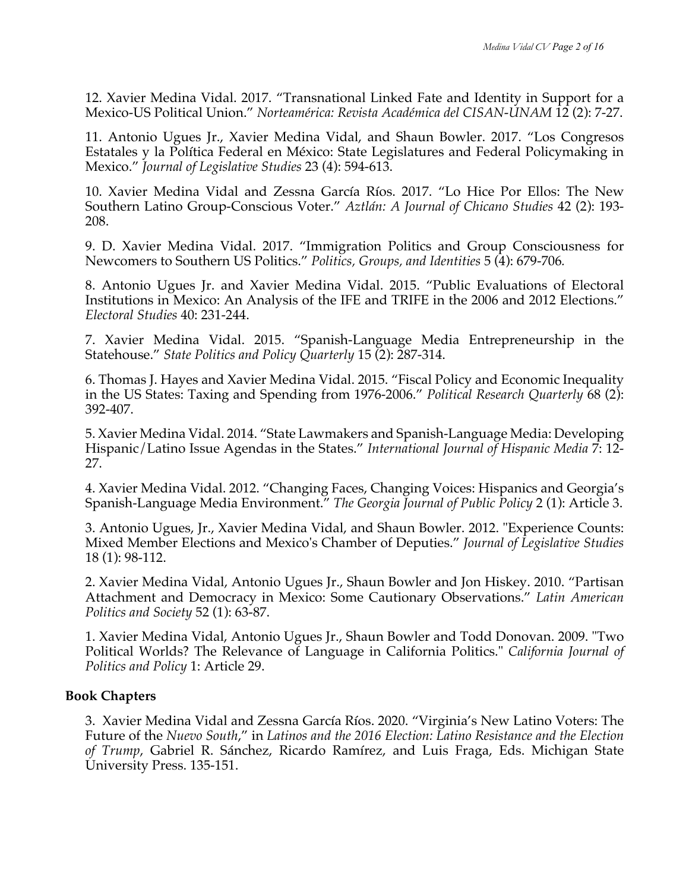12. Xavier Medina Vidal. 2017. "Transnational Linked Fate and Identity in Support for a Mexico-US Political Union." *Norteamérica: Revista Académica del CISAN-UNAM* 12 (2): 7-27.

11. Antonio Ugues Jr., Xavier Medina Vidal, and Shaun Bowler. 2017. "Los Congresos Estatales y la Política Federal en México: State Legislatures and Federal Policymaking in Mexico." *Journal of Legislative Studies* 23 (4): 594-613.

10. Xavier Medina Vidal and Zessna García Ríos. 2017. "Lo Hice Por Ellos: The New Southern Latino Group-Conscious Voter." *Aztlán: A Journal of Chicano Studies* 42 (2): 193- 208.

9. D. Xavier Medina Vidal. 2017. "Immigration Politics and Group Consciousness for Newcomers to Southern US Politics." *Politics, Groups, and Identities* 5 (4): 679-706*.*

8. Antonio Ugues Jr. and Xavier Medina Vidal. 2015. "Public Evaluations of Electoral Institutions in Mexico: An Analysis of the IFE and TRIFE in the 2006 and 2012 Elections." *Electoral Studies* 40: 231-244.

7. Xavier Medina Vidal. 2015. "Spanish-Language Media Entrepreneurship in the Statehouse." *State Politics and Policy Quarterly* 15 (2): 287-314.

6. Thomas J. Hayes and Xavier Medina Vidal. 2015. "Fiscal Policy and Economic Inequality in the US States: Taxing and Spending from 1976-2006." *Political Research Quarterly* 68 (2): 392-407.

5. Xavier Medina Vidal. 2014. "State Lawmakers and Spanish-Language Media: Developing Hispanic/Latino Issue Agendas in the States." *International Journal of Hispanic Media* 7: 12- 27.

4. Xavier Medina Vidal. 2012. "Changing Faces, Changing Voices: Hispanics and Georgia's Spanish-Language Media Environment." *The Georgia Journal of Public Policy* 2 (1): Article 3.

3. Antonio Ugues, Jr., Xavier Medina Vidal, and Shaun Bowler. 2012. "Experience Counts: Mixed Member Elections and Mexico's Chamber of Deputies." *Journal of Legislative Studies* 18 (1): 98-112.

2. Xavier Medina Vidal, Antonio Ugues Jr., Shaun Bowler and Jon Hiskey. 2010. "Partisan Attachment and Democracy in Mexico: Some Cautionary Observations." *Latin American Politics and Society* 52 (1): 63-87.

1. Xavier Medina Vidal, Antonio Ugues Jr., Shaun Bowler and Todd Donovan. 2009. "Two Political Worlds? The Relevance of Language in California Politics." *California Journal of Politics and Policy* 1: Article 29.

## **Book Chapters**

3. Xavier Medina Vidal and Zessna García Ríos. 2020. "Virginia's New Latino Voters: The Future of the *Nuevo South*," in *Latinos and the 2016 Election: Latino Resistance and the Election of Trump*, Gabriel R. Sánchez, Ricardo Ramírez, and Luis Fraga, Eds. Michigan State University Press. 135-151.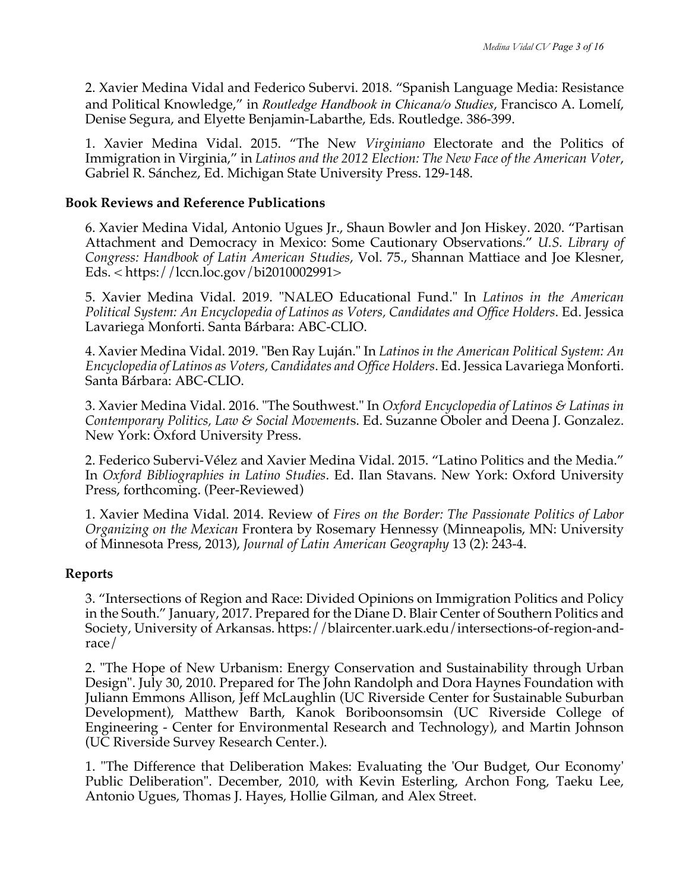2. Xavier Medina Vidal and Federico Subervi. 2018. "Spanish Language Media: Resistance and Political Knowledge," in *Routledge Handbook in Chicana/o Studies*, Francisco A. Lomelí, Denise Segura, and Elyette Benjamin-Labarthe, Eds. Routledge. 386-399.

1. Xavier Medina Vidal. 2015. "The New *Virginiano* Electorate and the Politics of Immigration in Virginia," in *Latinos and the 2012 Election: The New Face of the American Voter*, Gabriel R. Sánchez, Ed. Michigan State University Press. 129-148.

### **Book Reviews and Reference Publications**

6. Xavier Medina Vidal, Antonio Ugues Jr., Shaun Bowler and Jon Hiskey. 2020. "Partisan Attachment and Democracy in Mexico: Some Cautionary Observations." *U.S. Library of Congress: Handbook of Latin American Studies*, Vol. 75., Shannan Mattiace and Joe Klesner, Eds. < https://lccn.loc.gov/bi2010002991>

5. Xavier Medina Vidal. 2019. "NALEO Educational Fund." In *Latinos in the American Political System: An Encyclopedia of Latinos as Voters, Candidates and Office Holders*. Ed. Jessica Lavariega Monforti. Santa Bárbara: ABC-CLIO.

4. Xavier Medina Vidal. 2019. "Ben Ray Luján." In *Latinos in the American Political System: An Encyclopedia of Latinos as Voters, Candidates and Office Holders*. Ed. Jessica Lavariega Monforti. Santa Bárbara: ABC-CLIO.

3. Xavier Medina Vidal. 2016. "The Southwest." In *Oxford Encyclopedia of Latinos & Latinas in Contemporary Politics, Law & Social Movement*s. Ed. Suzanne Oboler and Deena J. Gonzalez. New York: Oxford University Press.

2. Federico Subervi-Vélez and Xavier Medina Vidal. 2015. "Latino Politics and the Media." In *Oxford Bibliographies in Latino Studies*. Ed. Ilan Stavans. New York: Oxford University Press, forthcoming. (Peer-Reviewed)

1. Xavier Medina Vidal. 2014. Review of *Fires on the Border: The Passionate Politics of Labor Organizing on the Mexican* Frontera by Rosemary Hennessy (Minneapolis, MN: University of Minnesota Press, 2013), *Journal of Latin American Geography* 13 (2): 243-4.

## **Reports**

3. "Intersections of Region and Race: Divided Opinions on Immigration Politics and Policy in the South." January, 2017. Prepared for the Diane D. Blair Center of Southern Politics and Society, University of Arkansas. https://blaircenter.uark.edu/intersections-of-region-andrace/

2. "The Hope of New Urbanism: Energy Conservation and Sustainability through Urban Design". July 30, 2010. Prepared for The John Randolph and Dora Haynes Foundation with Juliann Emmons Allison, Jeff McLaughlin (UC Riverside Center for Sustainable Suburban Development), Matthew Barth, Kanok Boriboonsomsin (UC Riverside College of Engineering - Center for Environmental Research and Technology), and Martin Johnson (UC Riverside Survey Research Center.).

1. "The Difference that Deliberation Makes: Evaluating the 'Our Budget, Our Economy' Public Deliberation". December, 2010, with Kevin Esterling, Archon Fong, Taeku Lee, Antonio Ugues, Thomas J. Hayes, Hollie Gilman, and Alex Street.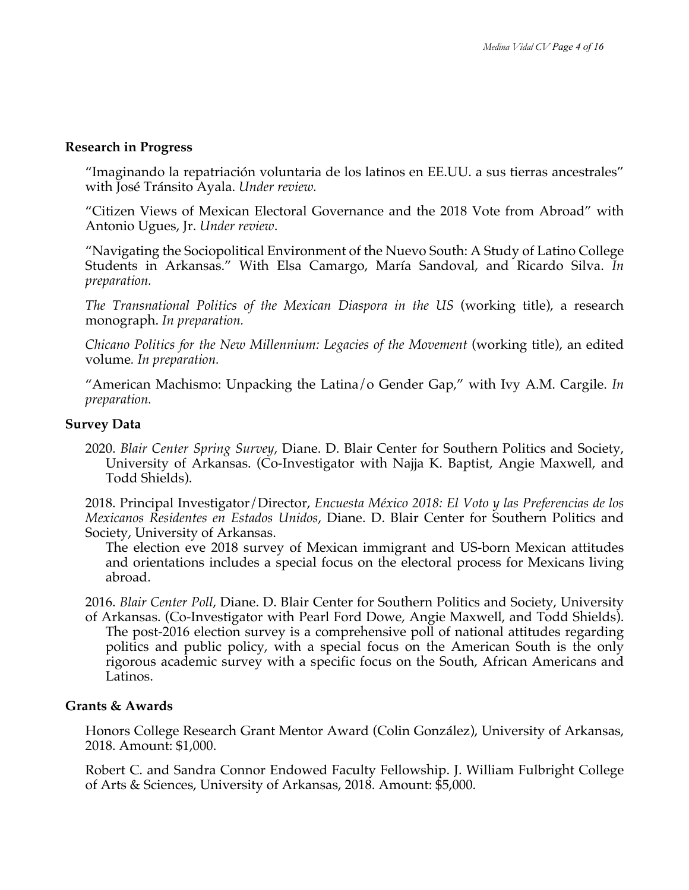### **Research in Progress**

"Imaginando la repatriación voluntaria de los latinos en EE.UU. a sus tierras ancestrales" with José Tránsito Ayala. *Under review.*

"Citizen Views of Mexican Electoral Governance and the 2018 Vote from Abroad" with Antonio Ugues, Jr. *Under review*.

"Navigating the Sociopolitical Environment of the Nuevo South: A Study of Latino College Students in Arkansas." With Elsa Camargo, María Sandoval, and Ricardo Silva. *In preparation.*

*The Transnational Politics of the Mexican Diaspora in the US* (working title), a research monograph. *In preparation.*

*Chicano Politics for the New Millennium: Legacies of the Movement (working title), an edited* volume*. In preparation.*

"American Machismo: Unpacking the Latina/o Gender Gap," with Ivy A.M. Cargile. *In preparation.*

### **Survey Data**

2020. *Blair Center Spring Survey*, Diane. D. Blair Center for Southern Politics and Society, University of Arkansas. (Co-Investigator with Najja K. Baptist, Angie Maxwell, and Todd Shields).

2018. Principal Investigator/Director, *Encuesta México 2018: El Voto y las Preferencias de los Mexicanos Residentes en Estados Unidos*, Diane. D. Blair Center for Southern Politics and Society, University of Arkansas.

The election eve 2018 survey of Mexican immigrant and US-born Mexican attitudes and orientations includes a special focus on the electoral process for Mexicans living abroad.

2016. *Blair Center Poll*, Diane. D. Blair Center for Southern Politics and Society, University of Arkansas. (Co-Investigator with Pearl Ford Dowe, Angie Maxwell, and Todd Shields). The post-2016 election survey is a comprehensive poll of national attitudes regarding politics and public policy, with a special focus on the American South is the only rigorous academic survey with a specific focus on the South, African Americans and Latinos.

### **Grants & Awards**

Honors College Research Grant Mentor Award (Colin González), University of Arkansas, 2018. Amount: \$1,000.

Robert C. and Sandra Connor Endowed Faculty Fellowship. J. William Fulbright College of Arts & Sciences, University of Arkansas, 2018. Amount: \$5,000.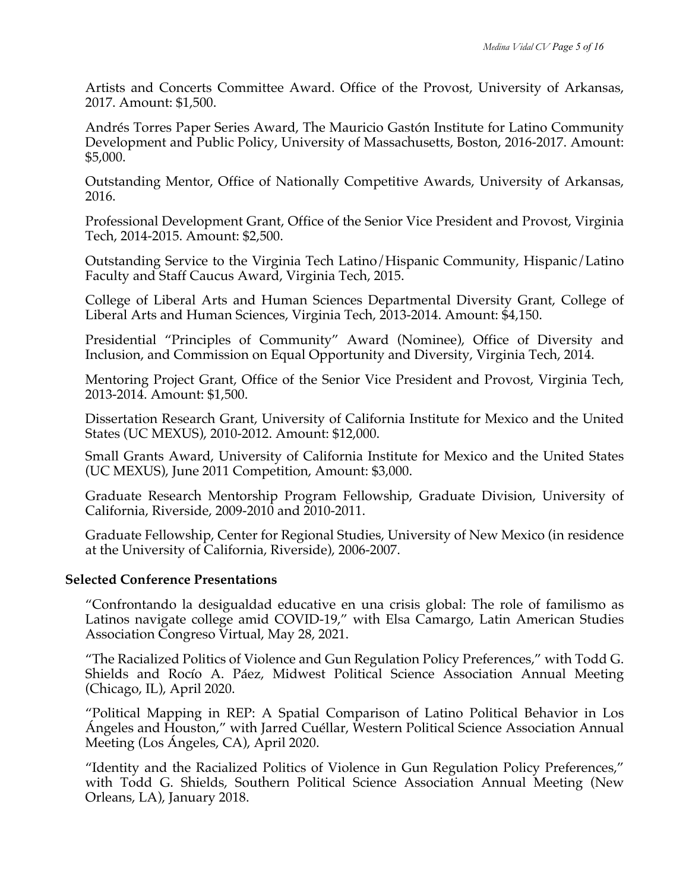Artists and Concerts Committee Award. Office of the Provost, University of Arkansas, 2017. Amount: \$1,500.

Andrés Torres Paper Series Award, The Mauricio Gastón Institute for Latino Community Development and Public Policy, University of Massachusetts, Boston, 2016-2017. Amount: \$5,000.

Outstanding Mentor, Office of Nationally Competitive Awards, University of Arkansas, 2016.

Professional Development Grant, Office of the Senior Vice President and Provost, Virginia Tech, 2014-2015. Amount: \$2,500.

Outstanding Service to the Virginia Tech Latino/Hispanic Community, Hispanic/Latino Faculty and Staff Caucus Award, Virginia Tech, 2015.

College of Liberal Arts and Human Sciences Departmental Diversity Grant, College of Liberal Arts and Human Sciences, Virginia Tech, 2013-2014. Amount: \$4,150.

Presidential "Principles of Community" Award (Nominee), Office of Diversity and Inclusion, and Commission on Equal Opportunity and Diversity, Virginia Tech, 2014.

Mentoring Project Grant, Office of the Senior Vice President and Provost, Virginia Tech, 2013-2014. Amount: \$1,500.

Dissertation Research Grant, University of California Institute for Mexico and the United States (UC MEXUS), 2010-2012. Amount: \$12,000.

Small Grants Award, University of California Institute for Mexico and the United States (UC MEXUS), June 2011 Competition, Amount: \$3,000.

Graduate Research Mentorship Program Fellowship, Graduate Division, University of California, Riverside, 2009-2010 and 2010-2011.

Graduate Fellowship, Center for Regional Studies, University of New Mexico (in residence at the University of California, Riverside), 2006-2007.

### **Selected Conference Presentations**

"Confrontando la desigualdad educative en una crisis global: The role of familismo as Latinos navigate college amid COVID-19," with Elsa Camargo, Latin American Studies Association Congreso Virtual, May 28, 2021.

"The Racialized Politics of Violence and Gun Regulation Policy Preferences," with Todd G. Shields and Rocío A. Páez, Midwest Political Science Association Annual Meeting (Chicago, IL), April 2020.

"Political Mapping in REP: A Spatial Comparison of Latino Political Behavior in Los Ángeles and Houston," with Jarred Cuéllar, Western Political Science Association Annual Meeting (Los Ángeles, CA), April 2020.

"Identity and the Racialized Politics of Violence in Gun Regulation Policy Preferences," with Todd G. Shields, Southern Political Science Association Annual Meeting (New Orleans, LA), January 2018.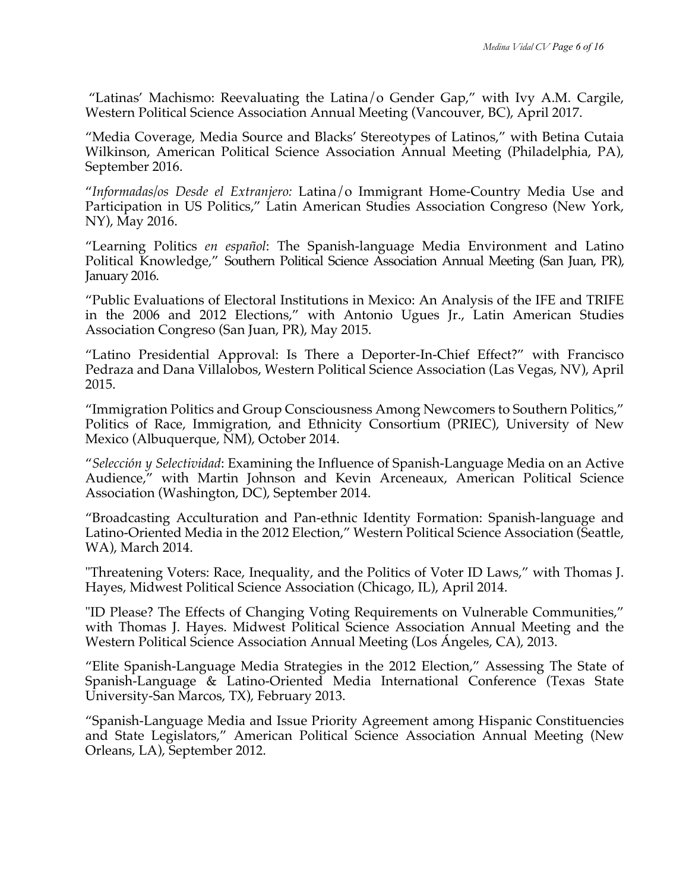"Latinas' Machismo: Reevaluating the Latina/o Gender Gap," with Ivy A.M. Cargile, Western Political Science Association Annual Meeting (Vancouver, BC), April 2017.

"Media Coverage, Media Source and Blacks' Stereotypes of Latinos," with Betina Cutaia Wilkinson, American Political Science Association Annual Meeting (Philadelphia, PA), September 2016.

"*Informadas/os Desde el Extranjero:* Latina/o Immigrant Home-Country Media Use and Participation in US Politics," Latin American Studies Association Congreso (New York, NY), May 2016.

"Learning Politics *en español*: The Spanish-language Media Environment and Latino Political Knowledge," Southern Political Science Association Annual Meeting (San Juan, PR), January 2016.

"Public Evaluations of Electoral Institutions in Mexico: An Analysis of the IFE and TRIFE in the 2006 and 2012 Elections," with Antonio Ugues Jr., Latin American Studies Association Congreso (San Juan, PR), May 2015.

"Latino Presidential Approval: Is There a Deporter-In-Chief Effect?" with Francisco Pedraza and Dana Villalobos, Western Political Science Association (Las Vegas, NV), April 2015.

"Immigration Politics and Group Consciousness Among Newcomers to Southern Politics," Politics of Race, Immigration, and Ethnicity Consortium (PRIEC), University of New Mexico (Albuquerque, NM), October 2014.

"*Selección y Selectividad*: Examining the Influence of Spanish-Language Media on an Active Audience," with Martin Johnson and Kevin Arceneaux, American Political Science Association (Washington, DC), September 2014.

"Broadcasting Acculturation and Pan-ethnic Identity Formation: Spanish-language and Latino-Oriented Media in the 2012 Election," Western Political Science Association (Seattle, WA), March 2014.

"Threatening Voters: Race, Inequality, and the Politics of Voter ID Laws," with Thomas J. Hayes, Midwest Political Science Association (Chicago, IL), April 2014.

"ID Please? The Effects of Changing Voting Requirements on Vulnerable Communities," with Thomas J. Hayes. Midwest Political Science Association Annual Meeting and the Western Political Science Association Annual Meeting (Los Ángeles, CA), 2013.

"Elite Spanish-Language Media Strategies in the 2012 Election," Assessing The State of Spanish-Language & Latino-Oriented Media International Conference (Texas State University-San Marcos, TX), February 2013.

"Spanish-Language Media and Issue Priority Agreement among Hispanic Constituencies and State Legislators," American Political Science Association Annual Meeting (New Orleans, LA), September 2012.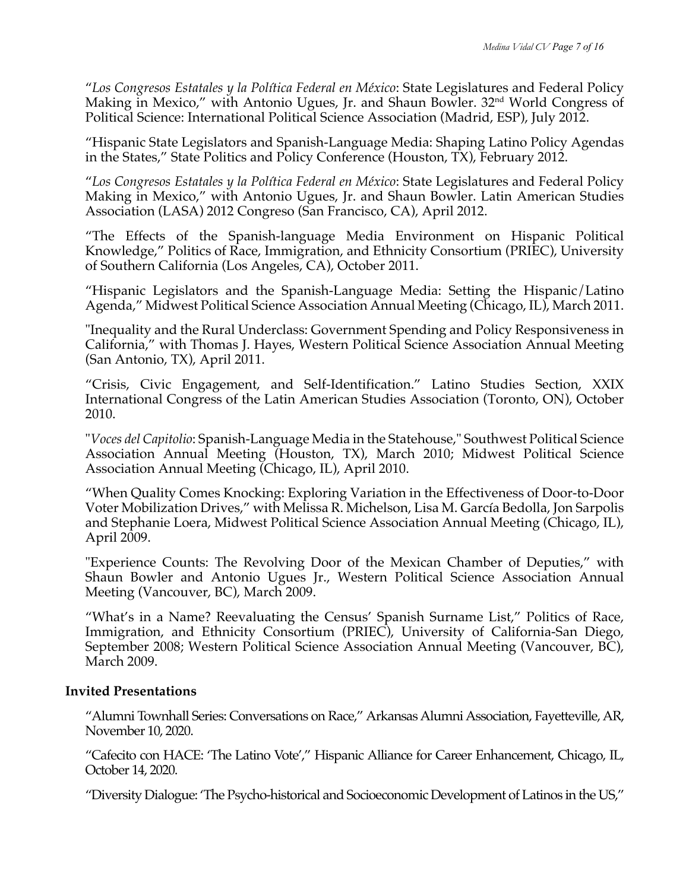"*Los Congresos Estatales y la Política Federal en México*: State Legislatures and Federal Policy Making in Mexico," with Antonio Ugues, Jr. and Shaun Bowler. 32<sup>nd</sup> World Congress of Political Science: International Political Science Association (Madrid, ESP), July 2012.

"Hispanic State Legislators and Spanish-Language Media: Shaping Latino Policy Agendas in the States," State Politics and Policy Conference (Houston, TX), February 2012.

"*Los Congresos Estatales y la Política Federal en México*: State Legislatures and Federal Policy Making in Mexico," with Antonio Ugues, Jr. and Shaun Bowler. Latin American Studies Association (LASA) 2012 Congreso (San Francisco, CA), April 2012.

"The Effects of the Spanish-language Media Environment on Hispanic Political Knowledge," Politics of Race, Immigration, and Ethnicity Consortium (PRIEC), University of Southern California (Los Angeles, CA), October 2011.

"Hispanic Legislators and the Spanish-Language Media: Setting the Hispanic/Latino Agenda," Midwest Political Science Association Annual Meeting (Chicago, IL), March 2011.

"Inequality and the Rural Underclass: Government Spending and Policy Responsiveness in California," with Thomas J. Hayes, Western Political Science Association Annual Meeting (San Antonio, TX), April 2011.

"Crisis, Civic Engagement, and Self-Identification." Latino Studies Section, XXIX International Congress of the Latin American Studies Association (Toronto, ON), October 2010.

"*Voces del Capitolio*: Spanish-Language Media in the Statehouse," Southwest Political Science Association Annual Meeting (Houston, TX), March 2010; Midwest Political Science Association Annual Meeting (Chicago, IL), April 2010.

"When Quality Comes Knocking: Exploring Variation in the Effectiveness of Door-to-Door Voter Mobilization Drives," with Melissa R. Michelson, Lisa M. García Bedolla, Jon Sarpolis and Stephanie Loera, Midwest Political Science Association Annual Meeting (Chicago, IL), April 2009.

"Experience Counts: The Revolving Door of the Mexican Chamber of Deputies," with Shaun Bowler and Antonio Ugues Jr., Western Political Science Association Annual Meeting (Vancouver, BC), March 2009.

"What's in a Name? Reevaluating the Census' Spanish Surname List," Politics of Race, Immigration, and Ethnicity Consortium (PRIEC), University of California-San Diego, September 2008; Western Political Science Association Annual Meeting (Vancouver, BC), March 2009.

## **Invited Presentations**

"Alumni Townhall Series: Conversations on Race," Arkansas Alumni Association, Fayetteville, AR, November 10, 2020.

"Cafecito con HACE: 'The Latino Vote'," Hispanic Alliance for Career Enhancement, Chicago, IL, October 14, 2020.

"Diversity Dialogue: 'The Psycho-historical and Socioeconomic Development of Latinos in the US,"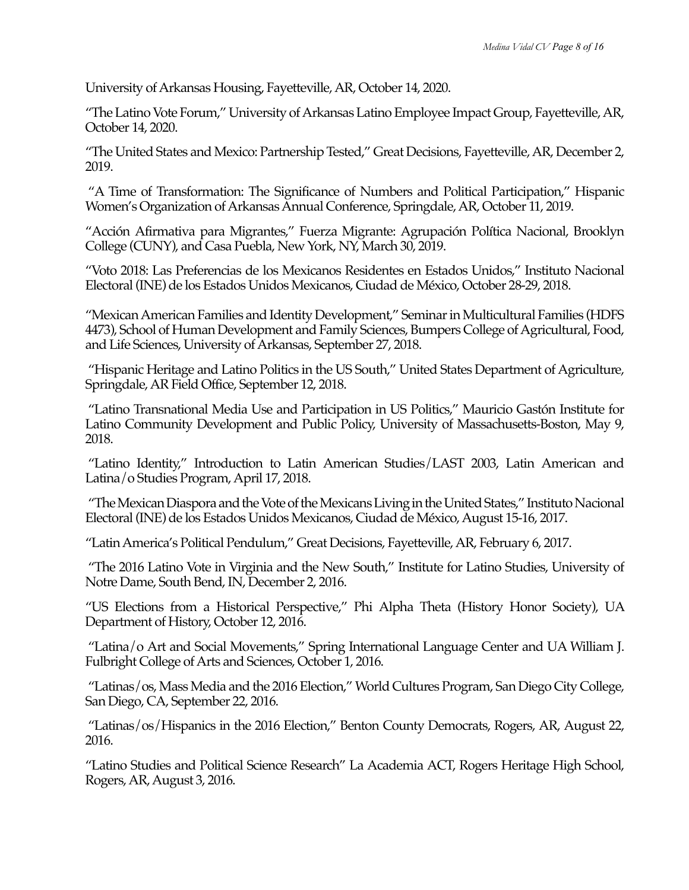University of Arkansas Housing, Fayetteville, AR, October 14, 2020.

"The Latino Vote Forum," University of Arkansas Latino Employee Impact Group, Fayetteville, AR, October 14, 2020.

"The United States and Mexico: Partnership Tested," Great Decisions, Fayetteville, AR, December 2, 2019.

"A Time of Transformation: The Significance of Numbers and Political Participation," Hispanic Women's Organization of Arkansas Annual Conference, Springdale, AR, October 11, 2019.

"Acción Afirmativa para Migrantes," Fuerza Migrante: Agrupación Política Nacional, Brooklyn College (CUNY), and Casa Puebla, New York, NY, March 30, 2019.

"Voto 2018: Las Preferencias de los Mexicanos Residentes en Estados Unidos," Instituto Nacional Electoral (INE) de los Estados Unidos Mexicanos, Ciudad de México, October 28-29, 2018.

"Mexican American Families and Identity Development," Seminar in Multicultural Families (HDFS 4473), School of Human Development and Family Sciences, Bumpers College of Agricultural, Food, and Life Sciences, University of Arkansas, September 27, 2018.

"Hispanic Heritage and Latino Politics in the US South," United States Department of Agriculture, Springdale, AR Field Office, September 12, 2018.

"Latino Transnational Media Use and Participation in US Politics," Mauricio Gastón Institute for Latino Community Development and Public Policy, University of Massachusetts-Boston, May 9, 2018.

"Latino Identity," Introduction to Latin American Studies/LAST 2003, Latin American and Latina/o Studies Program, April 17, 2018.

"TheMexican Diaspora and the Voteof the Mexicans Living in the United States," Instituto Nacional Electoral (INE) de los Estados Unidos Mexicanos, Ciudad de México, August 15-16, 2017.

"Latin America's Political Pendulum," Great Decisions, Fayetteville, AR, February 6, 2017.

"The 2016 Latino Vote in Virginia and the New South," Institute for Latino Studies, University of Notre Dame, South Bend, IN, December 2, 2016.

"US Elections from a Historical Perspective," Phi Alpha Theta (History Honor Society), UA Department of History, October 12, 2016.

"Latina/o Art and Social Movements," Spring International Language Center and UA William J. Fulbright College of Arts and Sciences, October 1, 2016.

"Latinas/os, Mass Media and the 2016 Election," World Cultures Program, San Diego City College, San Diego, CA, September 22, 2016.

"Latinas/os/Hispanics in the 2016 Election," Benton County Democrats, Rogers, AR, August 22, 2016.

"Latino Studies and Political Science Research" La Academia ACT, Rogers Heritage High School, Rogers, AR, August 3, 2016.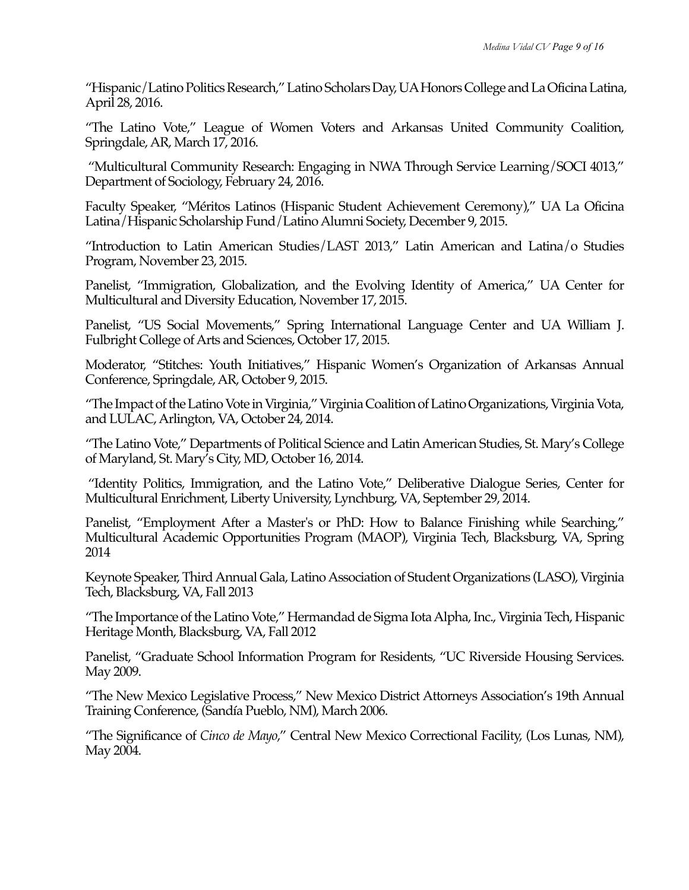"Hispanic/Latino Politics Research," Latino Scholars Day, UA Honors College and La Oficina Latina, April 28, 2016.

"The Latino Vote," League of Women Voters and Arkansas United Community Coalition, Springdale, AR, March 17, 2016.

"Multicultural Community Research: Engaging in NWA Through Service Learning/SOCI 4013," Department of Sociology, February 24, 2016.

Faculty Speaker, "Méritos Latinos (Hispanic Student Achievement Ceremony)," UA La Oficina Latina/Hispanic Scholarship Fund/Latino Alumni Society, December 9, 2015.

"Introduction to Latin American Studies/LAST 2013," Latin American and Latina/o Studies Program, November 23, 2015.

Panelist, "Immigration, Globalization, and the Evolving Identity of America," UA Center for Multicultural and Diversity Education, November 17, 2015.

Panelist, "US Social Movements," Spring International Language Center and UA William J. Fulbright College of Arts and Sciences, October 17, 2015.

Moderator, "Stitches: Youth Initiatives," Hispanic Women's Organization of Arkansas Annual Conference, Springdale, AR, October 9, 2015.

"The Impact of the Latino Vote in Virginia," Virginia Coalition of Latino Organizations, Virginia Vota, and LULAC, Arlington, VA, October 24, 2014.

"The Latino Vote," Departments of Political Science and Latin American Studies, St. Mary's College of Maryland, St. Mary's City, MD, October 16, 2014.

"Identity Politics, Immigration, and the Latino Vote," Deliberative Dialogue Series, Center for Multicultural Enrichment, Liberty University, Lynchburg, VA, September 29, 2014.

Panelist, "Employment After a Master's or PhD: How to Balance Finishing while Searching," Multicultural Academic Opportunities Program (MAOP), Virginia Tech, Blacksburg, VA, Spring 2014

Keynote Speaker, Third Annual Gala, Latino Association of Student Organizations (LASO), Virginia Tech, Blacksburg, VA, Fall 2013

"The Importance of the Latino Vote," Hermandad de Sigma Iota Alpha, Inc., Virginia Tech, Hispanic Heritage Month, Blacksburg, VA, Fall 2012

Panelist, "Graduate School Information Program for Residents, "UC Riverside Housing Services. May 2009.

"The New Mexico Legislative Process," New Mexico District Attorneys Association's 19th Annual Training Conference, (Sandía Pueblo, NM), March 2006.

"The Significance of *Cinco de Mayo*," Central New Mexico Correctional Facility, (Los Lunas, NM), May 2004.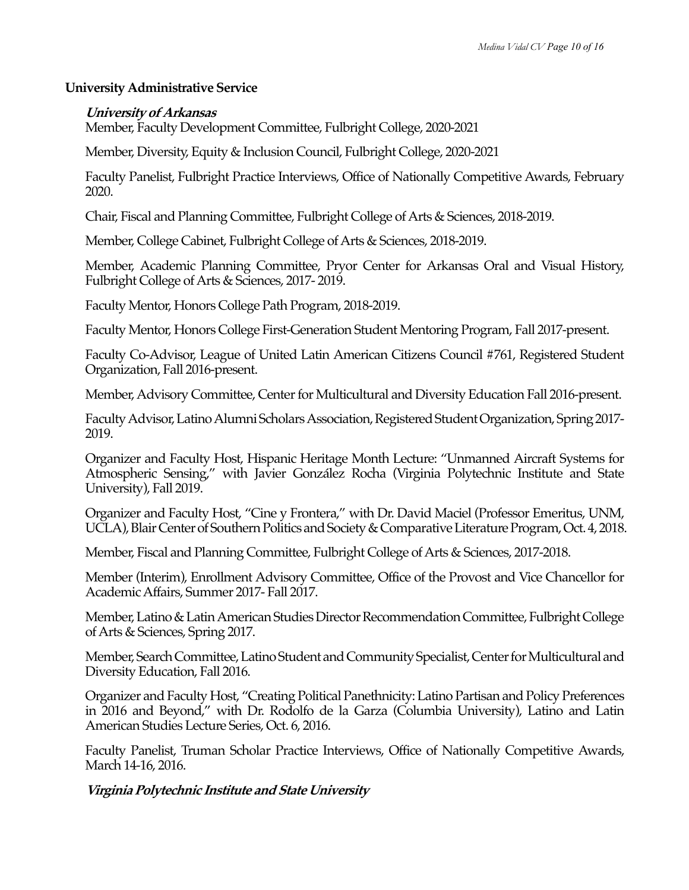### **University Administrative Service**

### **University of Arkansas**

Member, Faculty Development Committee, Fulbright College, 2020-2021

Member, Diversity, Equity & Inclusion Council, Fulbright College, 2020-2021

Faculty Panelist, Fulbright Practice Interviews, Office of Nationally Competitive Awards, February 2020.

Chair, Fiscal and Planning Committee, Fulbright College of Arts & Sciences, 2018-2019.

Member, College Cabinet, Fulbright College of Arts & Sciences, 2018-2019.

Member, Academic Planning Committee, Pryor Center for Arkansas Oral and Visual History, Fulbright College of Arts & Sciences, 2017- 2019.

Faculty Mentor, Honors College Path Program, 2018-2019.

Faculty Mentor, Honors College First-Generation Student Mentoring Program, Fall 2017-present.

Faculty Co-Advisor, League of United Latin American Citizens Council #761, Registered Student Organization, Fall 2016-present.

Member, Advisory Committee, Center for Multicultural and Diversity Education Fall 2016-present.

Faculty Advisor, Latino Alumni Scholars Association, Registered Student Organization, Spring 2017- 2019.

Organizer and Faculty Host, Hispanic Heritage Month Lecture: "Unmanned Aircraft Systems for Atmospheric Sensing," with Javier González Rocha (Virginia Polytechnic Institute and State University), Fall 2019.

Organizer and Faculty Host, "Cine y Frontera," with Dr. David Maciel (Professor Emeritus, UNM, UCLA), Blair Center of Southern Politics and Society & Comparative Literature Program, Oct. 4, 2018.

Member, Fiscal and Planning Committee, Fulbright College of Arts & Sciences, 2017-2018.

Member (Interim), Enrollment Advisory Committee, Office of the Provost and Vice Chancellor for Academic Affairs, Summer 2017- Fall 2017.

Member, Latino & Latin American Studies Director Recommendation Committee, Fulbright College of Arts & Sciences, Spring 2017.

Member, Search Committee, Latino Student and Community Specialist, Center for Multicultural and Diversity Education, Fall 2016.

Organizer and Faculty Host, "Creating Political Panethnicity: Latino Partisan and Policy Preferences in 2016 and Beyond," with Dr. Rodolfo de la Garza (Columbia University), Latino and Latin American Studies Lecture Series, Oct. 6, 2016.

Faculty Panelist, Truman Scholar Practice Interviews, Office of Nationally Competitive Awards, March 14-16, 2016.

## **Virginia Polytechnic Institute and State University**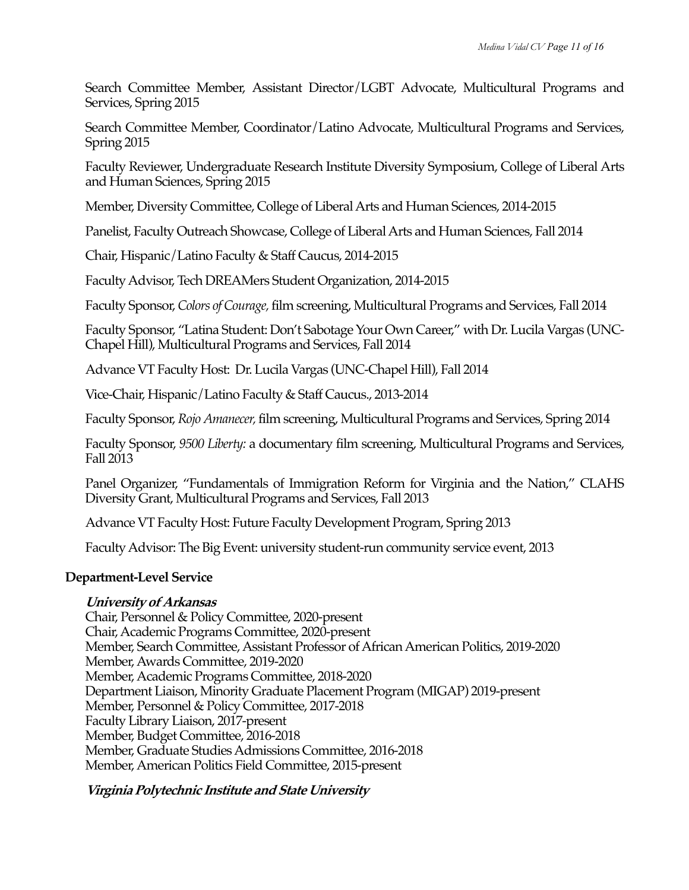Search Committee Member, Assistant Director/LGBT Advocate, Multicultural Programs and Services, Spring 2015

Search Committee Member, Coordinator/Latino Advocate, Multicultural Programs and Services, Spring 2015

Faculty Reviewer, Undergraduate Research Institute Diversity Symposium, College of Liberal Arts and Human Sciences, Spring 2015

Member, Diversity Committee, College of Liberal Arts and Human Sciences, 2014-2015

Panelist, Faculty Outreach Showcase, College of Liberal Arts and Human Sciences, Fall 2014

Chair, Hispanic/Latino Faculty & Staff Caucus, 2014-2015

Faculty Advisor, Tech DREAMers Student Organization, 2014-2015

Faculty Sponsor, *Colors of Courage,* film screening, Multicultural Programs and Services, Fall 2014

Faculty Sponsor, "Latina Student: Don't Sabotage Your Own Career," with Dr. Lucila Vargas (UNC-Chapel Hill), Multicultural Programs and Services, Fall 2014

Advance VT Faculty Host: Dr. Lucila Vargas (UNC-Chapel Hill), Fall 2014

Vice-Chair, Hispanic/Latino Faculty & Staff Caucus., 2013-2014

Faculty Sponsor, *Rojo Amanecer,* film screening, Multicultural Programs and Services, Spring 2014

Faculty Sponsor, *9500 Liberty:* a documentary film screening, Multicultural Programs and Services, Fall 2013

Panel Organizer, "Fundamentals of Immigration Reform for Virginia and the Nation," CLAHS Diversity Grant, Multicultural Programs and Services, Fall 2013

Advance VT Faculty Host: Future Faculty Development Program, Spring 2013

Faculty Advisor: The Big Event: university student-run community service event, 2013

## **Department-Level Service**

## **University of Arkansas**

Chair, Personnel & Policy Committee, 2020-present Chair, Academic Programs Committee, 2020-present Member, Search Committee, Assistant Professor of African American Politics, 2019-2020 Member, Awards Committee, 2019-2020 Member, Academic Programs Committee, 2018-2020 Department Liaison, Minority Graduate Placement Program (MIGAP) 2019-present Member, Personnel & Policy Committee, 2017-2018 Faculty Library Liaison, 2017-present Member, Budget Committee, 2016-2018 Member, Graduate Studies Admissions Committee, 2016-2018 Member, American Politics Field Committee, 2015-present

## **Virginia Polytechnic Institute and State University**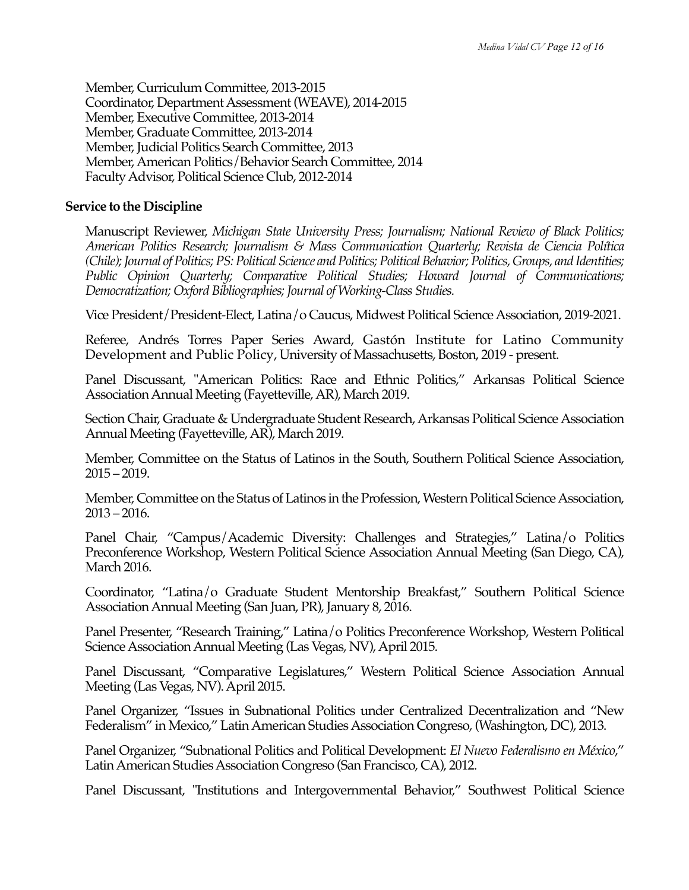Member, Curriculum Committee, 2013-2015 Coordinator, Department Assessment (WEAVE), 2014-2015 Member, Executive Committee, 2013-2014 Member, Graduate Committee, 2013-2014 Member, Judicial Politics Search Committee, 2013 Member, American Politics/Behavior Search Committee, 2014 Faculty Advisor, Political Science Club, 2012-2014

### **Service to the Discipline**

Manuscript Reviewer, *Michigan State University Press; Journalism; National Review of Black Politics; American Politics Research; Journalism & Mass Communication Quarterly; Revista de Ciencia Política (Chile); Journal of Politics; PS: Political Science and Politics; Political Behavior; Politics, Groups, and Identities; Public Opinion Quarterly; Comparative Political Studies; Howard Journal of Communications; Democratization; Oxford Bibliographies; Journal of Working-Class Studies.*

Vice President/President-Elect, Latina/o Caucus, Midwest Political Science Association, 2019-2021.

Referee, Andrés Torres Paper Series Award, Gastón Institute for Latino Community Development and Public Policy, University of Massachusetts, Boston, 2019 - present.

Panel Discussant, "American Politics: Race and Ethnic Politics," Arkansas Political Science Association Annual Meeting (Fayetteville, AR), March 2019.

Section Chair, Graduate & Undergraduate Student Research, Arkansas Political Science Association Annual Meeting (Fayetteville, AR), March 2019.

Member, Committee on the Status of Latinos in the South, Southern Political Science Association, 2015 – 2019.

Member, Committee on the Status of Latinos in the Profession, Western Political Science Association, 2013 – 2016.

Panel Chair, "Campus/Academic Diversity: Challenges and Strategies," Latina/o Politics Preconference Workshop, Western Political Science Association Annual Meeting (San Diego, CA), March 2016.

Coordinator, "Latina/o Graduate Student Mentorship Breakfast," Southern Political Science Association Annual Meeting (San Juan, PR), January 8, 2016.

Panel Presenter, "Research Training," Latina/o Politics Preconference Workshop, Western Political Science Association Annual Meeting (Las Vegas, NV), April 2015.

Panel Discussant, "Comparative Legislatures," Western Political Science Association Annual Meeting (Las Vegas, NV). April 2015.

Panel Organizer, "Issues in Subnational Politics under Centralized Decentralization and "New Federalism" in Mexico," Latin American Studies Association Congreso, (Washington, DC), 2013.

Panel Organizer, "Subnational Politics and Political Development: *El Nuevo Federalismo en México*," Latin American Studies Association Congreso (San Francisco, CA), 2012.

Panel Discussant, "Institutions and Intergovernmental Behavior," Southwest Political Science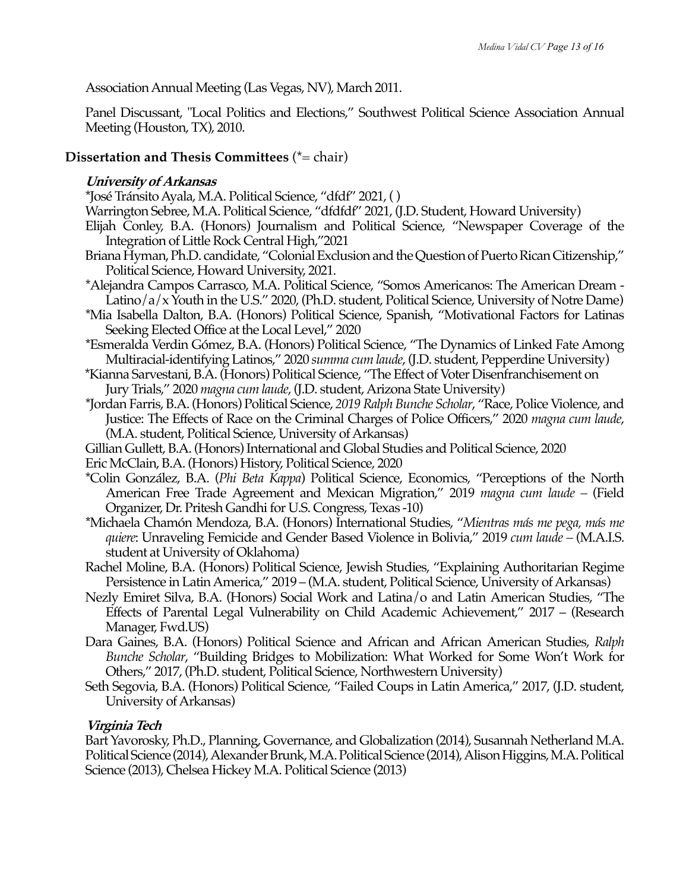Association Annual Meeting (Las Vegas, NV), March 2011.

Panel Discussant, "Local Politics and Elections," Southwest Political Science Association Annual Meeting (Houston, TX), 2010.

## **Dissertation and Thesis Committees** (\*= chair)

## **University of Arkansas**

- \*José Tránsito Ayala, M.A. Political Science, "dfdf" 2021, ( )
- Warrington Sebree, M.A. Political Science, "dfdfdf" 2021, (J.D. Student, Howard University)
- Elijah Conley, B.A. (Honors) Journalism and Political Science, "Newspaper Coverage of the Integration of Little Rock Central High,"2021
- Briana Hyman, Ph.D. candidate, "Colonial Exclusion and the Question of Puerto Rican Citizenship," Political Science, Howard University, 2021.
- \*Alejandra Campos Carrasco, M.A. Political Science, "Somos Americanos: The American Dream Latino/a/x Youth in the U.S." 2020, (Ph.D. student, Political Science, University of Notre Dame)
- \*Mia Isabella Dalton, B.A. (Honors) Political Science, Spanish, "Motivational Factors for Latinas Seeking Elected Office at the Local Level," 2020
- \*Esmeralda Verdin Gómez, B.A. (Honors) Political Science, "The Dynamics of Linked Fate Among Multiracial-identifying Latinos," 2020 *summa cum laude*, (J.D. student, Pepperdine University)
- \*Kianna Sarvestani, B.A. (Honors) Political Science, "The Effect of Voter Disenfranchisement on Jury Trials," 2020 *magna cum laude*, (J.D. student, Arizona State University)
- \*Jordan Farris, B.A. (Honors) Political Science, *2019 Ralph Bunche Scholar*, "Race, Police Violence, and Justice: The Effects of Race on the Criminal Charges of Police Officers," 2020 *magna cum laude*, (M.A. student, Political Science, University of Arkansas)
- Gillian Gullett, B.A. (Honors) International and Global Studies and Political Science, 2020
- Eric McClain, B.A. (Honors) History, Political Science, 2020
- \*Colin González, B.A. (*Phi Beta Kappa*) Political Science, Economics, "Perceptions of the North American Free Trade Agreement and Mexican Migration," 2019 *magna cum laude –* (Field Organizer, Dr. Pritesh Gandhi for U.S. Congress, Texas -10)
- \*Michaela Chamón Mendoza, B.A. (Honors) International Studies, "*Mientras más me pega, más me quiere*: Unraveling Femicide and Gender Based Violence in Bolivia," 2019 *cum laude –* (M.A.I.S. student at University of Oklahoma)
- Rachel Moline, B.A. (Honors) Political Science, Jewish Studies, "Explaining Authoritarian Regime Persistence in Latin America," 2019 – (M.A. student, Political Science, University of Arkansas)
- Nezly Emiret Silva, B.A. (Honors) Social Work and Latina/o and Latin American Studies, "The Effects of Parental Legal Vulnerability on Child Academic Achievement," 2017 – (Research Manager, Fwd.US)
- Dara Gaines, B.A. (Honors) Political Science and African and African American Studies, *Ralph Bunche Scholar*, "Building Bridges to Mobilization: What Worked for Some Won't Work for Others," 2017, (Ph.D. student, Political Science, Northwestern University)
- Seth Segovia, B.A. (Honors) Political Science, "Failed Coups in Latin America," 2017, (J.D. student, University of Arkansas)

## **Virginia Tech**

Bart Yavorosky, Ph.D., Planning, Governance, and Globalization (2014), Susannah Netherland M.A. Political Science (2014), Alexander Brunk, M.A. Political Science (2014), Alison Higgins, M.A. Political Science (2013), Chelsea Hickey M.A. Political Science (2013)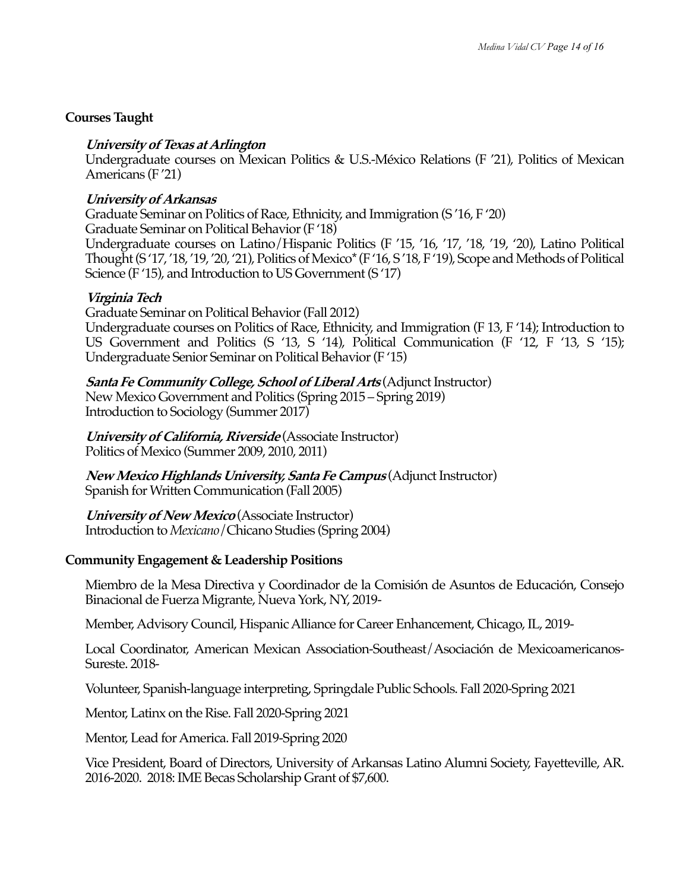## **Courses Taught**

## **University of Texas at Arlington**

Undergraduate courses on Mexican Politics & U.S.-México Relations (F '21), Politics of Mexican Americans (F '21)

## **University of Arkansas**

Graduate Seminar on Politics of Race, Ethnicity, and Immigration (S '16, F '20) Graduate Seminar on Political Behavior(F '18) Undergraduate courses on Latino/Hispanic Politics (F '15, '16, '17, '18, '19, '20), Latino Political Thought (S '17, '18, '19, '20, '21), Politics of Mexico\*(F '16, S '18, F '19), Scope and Methods of Political Science (F '15), and Introduction to US Government (S '17)

## **Virginia Tech**

Graduate Seminar on Political Behavior (Fall 2012) Undergraduate courses on Politics of Race, Ethnicity, and Immigration (F 13, F '14); Introduction to US Government and Politics (S '13, S '14), Political Communication (F '12, F '13, S '15); Undergraduate Senior Seminar on Political Behavior(F '15)

**Santa Fe Community College, School of Liberal Arts** (Adjunct Instructor) New Mexico Government and Politics (Spring 2015 – Spring 2019) Introduction to Sociology (Summer 2017)

**University of California, Riverside** (Associate Instructor) Politics of Mexico (Summer 2009, 2010, 2011)

**New Mexico Highlands University, Santa Fe Campus** (Adjunct Instructor) Spanish for Written Communication (Fall 2005)

**University of New Mexico** (Associate Instructor) Introduction to *Mexicano*/Chicano Studies (Spring 2004)

## **Community Engagement & Leadership Positions**

Miembro de la Mesa Directiva y Coordinador de la Comisión de Asuntos de Educación, Consejo Binacional de Fuerza Migrante, Nueva York, NY, 2019-

Member, Advisory Council, Hispanic Alliance for Career Enhancement, Chicago, IL, 2019-

Local Coordinator, American Mexican Association-Southeast/Asociación de Mexicoamericanos-Sureste. 2018-

Volunteer, Spanish-language interpreting, Springdale Public Schools. Fall 2020-Spring 2021

Mentor, Latinx on the Rise. Fall 2020-Spring 2021

Mentor, Lead for America. Fall 2019-Spring 2020

Vice President, Board of Directors, University of Arkansas Latino Alumni Society, Fayetteville, AR. 2016-2020. 2018: IME Becas Scholarship Grant of \$7,600.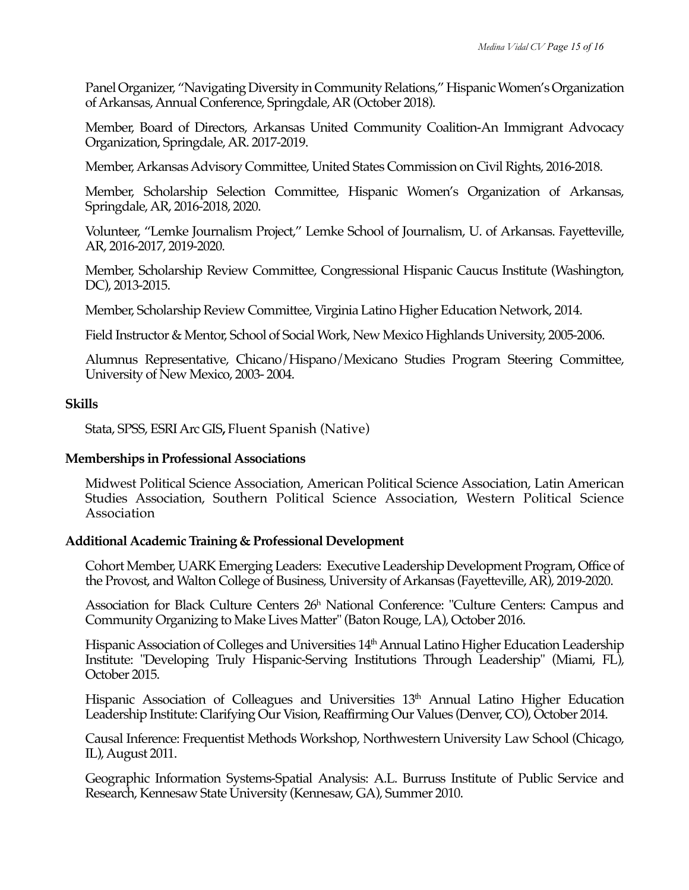Panel Organizer, "Navigating Diversity in Community Relations," Hispanic Women's Organization of Arkansas, Annual Conference, Springdale, AR (October 2018).

Member, Board of Directors, Arkansas United Community Coalition-An Immigrant Advocacy Organization, Springdale, AR. 2017-2019.

Member, Arkansas Advisory Committee, United States Commission on Civil Rights, 2016-2018.

Member, Scholarship Selection Committee, Hispanic Women's Organization of Arkansas, Springdale, AR, 2016-2018, 2020.

Volunteer, "Lemke Journalism Project," Lemke School of Journalism, U. of Arkansas. Fayetteville, AR, 2016-2017, 2019-2020.

Member, Scholarship Review Committee, Congressional Hispanic Caucus Institute (Washington, DC), 2013-2015.

Member, Scholarship Review Committee, Virginia Latino Higher Education Network, 2014.

Field Instructor & Mentor, School of Social Work, New Mexico Highlands University, 2005-2006.

Alumnus Representative, Chicano/Hispano/Mexicano Studies Program Steering Committee, University of New Mexico, 2003- 2004.

### **Skills**

Stata, SPSS, ESRI Arc GIS**,** Fluent Spanish (Native)

### **Memberships in Professional Associations**

Midwest Political Science Association, American Political Science Association, Latin American Studies Association, Southern Political Science Association, Western Political Science Association

### **Additional Academic Training & Professional Development**

Cohort Member, UARK Emerging Leaders: Executive Leadership Development Program, Office of the Provost, and Walton College of Business, University of Arkansas (Fayetteville, AR), 2019-2020.

Association for Black Culture Centers 26h National Conference: "Culture Centers: Campus and Community Organizing to Make Lives Matter" (Baton Rouge, LA), October 2016.

Hispanic Association of Colleges and Universities 14<sup>th</sup> Annual Latino Higher Education Leadership Institute: "Developing Truly Hispanic-Serving Institutions Through Leadership" (Miami, FL), October 2015.

Hispanic Association of Colleagues and Universities 13<sup>th</sup> Annual Latino Higher Education Leadership Institute: Clarifying Our Vision, Reaffirming Our Values (Denver, CO), October 2014.

Causal Inference: Frequentist Methods Workshop, Northwestern University Law School (Chicago, IL), August 2011.

Geographic Information Systems-Spatial Analysis: A.L. Burruss Institute of Public Service and Research, Kennesaw State University (Kennesaw, GA), Summer 2010.